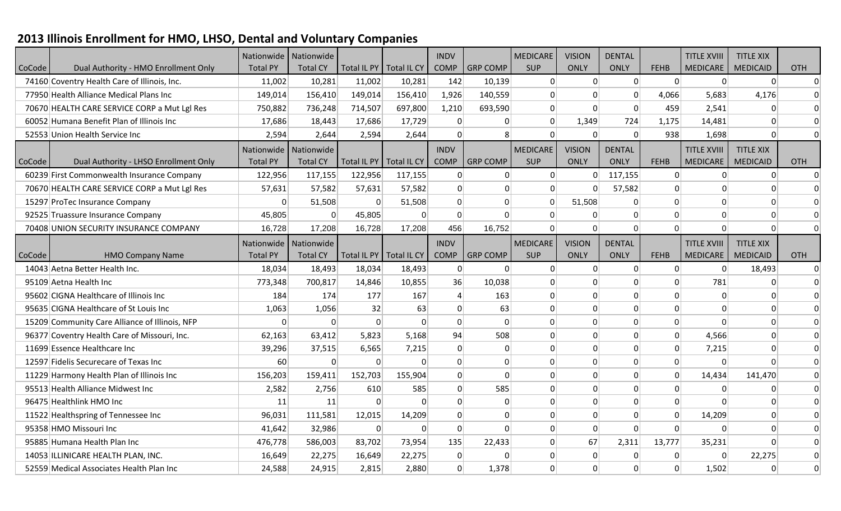## **2013 Illinois Enrollment for HMO, LHSO, Dental and Voluntary Companies**

|        |                                                |                 | Nationwide   Nationwide |                           |                           | <b>INDV</b>     |                 | <b>MEDICARE</b> | <b>VISION</b> | <b>DENTAL</b> |                 | <b>TITLE XVIII</b> | <b>TITLE XIX</b> |                                                                            |
|--------|------------------------------------------------|-----------------|-------------------------|---------------------------|---------------------------|-----------------|-----------------|-----------------|---------------|---------------|-----------------|--------------------|------------------|----------------------------------------------------------------------------|
| CoCode | Dual Authority - HMO Enrollment Only           | <b>Total PY</b> | <b>Total CY</b>         | Total IL PY   Total IL CY |                           | <b>COMP</b>     | <b>GRP COMP</b> | <b>SUP</b>      | <b>ONLY</b>   | <b>ONLY</b>   | <b>FEHB</b>     | <b>MEDICARE</b>    | <b>MEDICAID</b>  | <b>OTH</b>                                                                 |
|        | 74160 Coventry Health Care of Illinois, Inc.   | 11,002          | 10,281                  | 11,002                    | 10,281                    | 142             | 10,139          | $\Omega$        | $\Omega$      | $\Omega$      | $\vert 0 \vert$ | $\Omega$           | $\vert 0 \vert$  | $\overline{0}$                                                             |
|        | 77950 Health Alliance Medical Plans Inc        | 149,014         | 156,410                 | 149,014                   | 156,410                   | 1,926           | 140,559         |                 |               | $\Omega$      | 4,066           | 5,683              | 4,176            | $\overline{0}$                                                             |
|        | 70670 HEALTH CARE SERVICE CORP a Mut Lgl Res   | 750,882         | 736,248                 | 714,507                   | 697,800                   | 1,210           | 693,590         | $\Omega$        | $\Omega$      | $\mathbf{0}$  | 459             | 2,541              | $\Omega$         | $\boldsymbol{0}$                                                           |
|        | 60052 Humana Benefit Plan of Illinois Inc      | 17,686          | 18,443                  | 17,686                    | 17,729                    | $\vert 0 \vert$ | $\Omega$        | $\mathbf{0}$    | 1,349         | 724           | 1,175           | 14,481             | $\Omega$         | $\overline{0}$                                                             |
|        | 52553 Union Health Service Inc                 | 2,594           | 2,644                   | 2,594                     | 2,644                     | $\Omega$        | 8               |                 | $\Omega$      | $\mathbf{0}$  | 938             | 1,698              | $\Omega$         | $\Omega$                                                                   |
|        |                                                | Nationwide      | Nationwide              |                           |                           | <b>INDV</b>     |                 | <b>MEDICARE</b> | <b>VISION</b> | <b>DENTAL</b> |                 | <b>TITLE XVIII</b> | <b>TITLE XIX</b> |                                                                            |
| CoCode | Dual Authority - LHSO Enrollment Only          | <b>Total PY</b> | <b>Total CY</b>         | Total IL PY               | Total IL CY               | <b>COMP</b>     | <b>GRP COMP</b> | SUP             | <b>ONLY</b>   | <b>ONLY</b>   | <b>FEHB</b>     | <b>MEDICARE</b>    | <b>MEDICAID</b>  | <b>OTH</b>                                                                 |
|        | 60239 First Commonwealth Insurance Company     | 122,956         | 117,155                 | 122,956                   | 117,155                   | 0               | $\mathbf 0$     | $\Omega$        | $\Omega$      | 117,155       | $\Omega$        | $\Omega$           | 0                | $\Omega$                                                                   |
|        | 70670 HEALTH CARE SERVICE CORP a Mut Lgl Res   | 57,631          | 57,582                  | 57,631                    | 57,582                    | $\Omega$        | $\Omega$        |                 |               | 57,582        | $\Omega$        | ∩                  | 0                | $\overline{0}$                                                             |
|        | 15297 ProTec Insurance Company                 | $\Omega$        | 51,508                  | $\Omega$                  | 51,508                    | 0               | $\mathbf 0$     | $\Omega$        | 51,508        | $\Omega$      | $\overline{0}$  | $\Omega$           | $\overline{0}$   | $\overline{0}$                                                             |
|        | 92525 Truassure Insurance Company              | 45,805          | $\Omega$                | 45,805                    | $\Omega$                  | $\vert 0 \vert$ | $\Omega$        |                 |               | $\Omega$      | $\Omega$        | $\Omega$           | $\Omega$         | $\Omega$                                                                   |
|        | 70408 UNION SECURITY INSURANCE COMPANY         | 16,728          | 17,208                  | 16,728                    | 17,208                    | 456             | 16,752          | $\Omega$        | $\Omega$      | $\Omega$      | $\Omega$        | $\Omega$           | $\Omega$         | $\Omega$                                                                   |
|        |                                                | Nationwide      | Nationwide              |                           |                           | <b>INDV</b>     |                 | <b>MEDICARE</b> | <b>VISION</b> | <b>DENTAL</b> |                 | <b>TITLE XVIII</b> | <b>TITLE XIX</b> |                                                                            |
| CoCode | <b>HMO Company Name</b>                        | <b>Total PY</b> | <b>Total CY</b>         |                           | Total IL PY   Total IL CY | <b>COMP</b>     | <b>GRP COMP</b> | <b>SUP</b>      | ONLY          | <b>ONLY</b>   | <b>FEHB</b>     | <b>MEDICARE</b>    | <b>MEDICAID</b>  | OTH                                                                        |
|        | 14043 Aetna Better Health Inc.                 | 18,034          | 18,493                  | 18,034                    | 18,493                    | 0               | $\mathbf 0$     | $\Omega$        | $\Omega$      | $\mathbf 0$   | 0               | $\Omega$           | 18,493           | $\overline{0}$                                                             |
|        | 95109 Aetna Health Inc                         | 773,348         | 700,817                 | 14,846                    | 10,855                    | 36              | 10,038          | $\Omega$        | $\Omega$      | $\mathbf{0}$  | 0               | 781                | 0                | $\overline{0}$                                                             |
|        | 95602 CIGNA Healthcare of Illinois Inc         | 184             | 174                     | 177                       | 167                       | 4               | 163             |                 |               | $\Omega$      | $\Omega$        |                    | $\Omega$         | $\Omega$                                                                   |
|        | 95635 CIGNA Healthcare of St Louis Inc         | 1,063           | 1,056                   | 32                        | 63                        | $\Omega$        | 63              | $\Omega$        | $\Omega$      | $\Omega$      | $\Omega$        | $\Omega$           | $\overline{0}$   | $\overline{0}$                                                             |
|        | 15209 Community Care Alliance of Illinois, NFP | $\Omega$        | 0                       | $\mathbf 0$               | $\Omega$                  | $\Omega$        | $\Omega$        | $\Omega$        | $\Omega$      | $\Omega$      | $\overline{0}$  | $\Omega$           | $\overline{0}$   | $\overline{0}$                                                             |
|        | 96377 Coventry Health Care of Missouri, Inc.   | 62,163          | 63,412                  | 5,823                     | 5,168                     | 94              | 508             | 0               | $\Omega$      | $\Omega$      | $\Omega$        | 4,566              | $\Omega$         | $\overline{0}$                                                             |
|        | 11699 Essence Healthcare Inc                   | 39,296          | 37,515                  | 6,565                     | 7,215                     | $\Omega$        | $\Omega$        | <sup>0</sup>    | $\Omega$      | $\Omega$      | $\Omega$        | 7,215              | $\vert 0 \vert$  | $\overline{0}$                                                             |
|        | 12597 Fidelis Securecare of Texas Inc          | 60              | $\mathbf 0$             | $\overline{0}$            | $\Omega$                  | $\Omega$        | $\Omega$        | $\Omega$        | $\Omega$      | $\Omega$      | $\Omega$        | $\Omega$           | $\Omega$         | $\overline{0}$                                                             |
|        | 11229 Harmony Health Plan of Illinois Inc      | 156,203         | 159,411                 | 152,703                   | 155,904                   | $\Omega$        | $\Omega$        |                 | $\Omega$      | $\mathbf{0}$  | $\Omega$        | 14,434             | 141,470          | $\overline{0}$                                                             |
|        |                                                |                 |                         |                           |                           |                 |                 |                 |               |               |                 |                    |                  |                                                                            |
|        | 95513 Health Alliance Midwest Inc              | 2,582           | 2,756                   | 610                       | 585                       | $\Omega$        | 585             | $\Omega$        | $\Omega$      | $\mathbf{0}$  | $\Omega$        | $\Omega$           | $\Omega$         | $\overline{0}$                                                             |
|        | 96475 Healthlink HMO Inc                       | 11              | 11                      | $\Omega$                  | $\Omega$                  | $\Omega$        | $\Omega$        | $\Omega$        | $\Omega$      | $\mathbf{0}$  | $\Omega$        | $\Omega$           | $\vert 0 \vert$  |                                                                            |
|        | 11522 Healthspring of Tennessee Inc            | 96,031          | 111,581                 | 12,015                    | 14,209                    | $\Omega$        | $\Omega$        |                 | $\Omega$      | $\Omega$      | $\Omega$        | 14,209             | $\Omega$         |                                                                            |
|        | 95358 HMO Missouri Inc                         | 41,642          | 32,986                  | $\mathbf 0$               | $\Omega$                  | $\mathbf 0$     | $\Omega$        | $\Omega$        | $\Omega$      | $\mathbf 0$   | 0               | $\Omega$           | $\Omega$         |                                                                            |
|        | 95885 Humana Health Plan Inc                   | 476,778         | 586,003                 | 83,702                    | 73,954                    | 135             | 22,433          | $\Omega$        | 67            | 2,311         | 13,777          | 35,231             | $\vert 0 \vert$  |                                                                            |
|        | 14053 ILLINICARE HEALTH PLAN, INC.             | 16,649          | 22,275                  | 16,649                    | 22,275                    | $\vert 0 \vert$ | $\Omega$        |                 | $\Omega$      | $\Omega$      | $\Omega$        |                    | 22,275           | $\overline{0}$<br>$\overline{0}$<br>$\overline{0}$<br>$\Omega$<br>$\Omega$ |